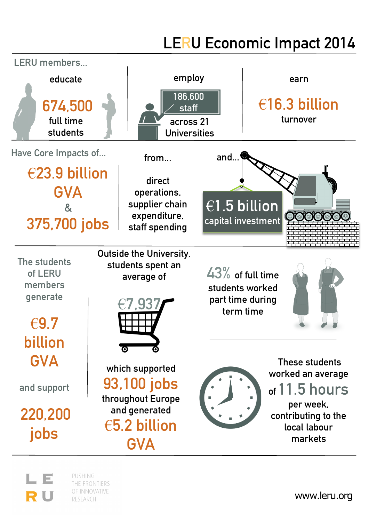## **LERU Economic Impact 2014**



PUSHING THE FRONTIERS OF INNOVATIVE RESEARCH

R U

www.leru.org